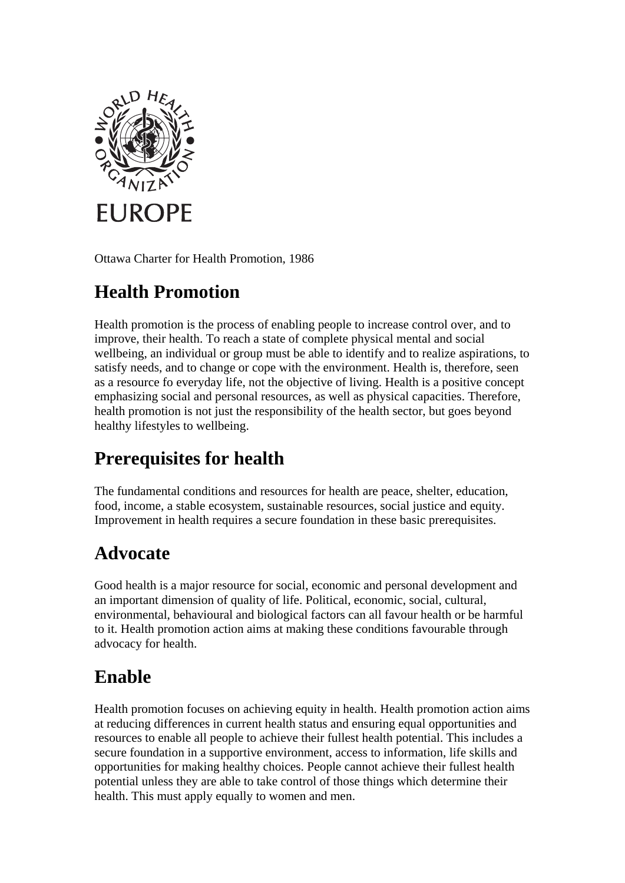

Ottawa Charter for Health Promotion, 1986

## **Health Promotion**

Health promotion is the process of enabling people to increase control over, and to improve, their health. To reach a state of complete physical mental and social wellbeing, an individual or group must be able to identify and to realize aspirations, to satisfy needs, and to change or cope with the environment. Health is, therefore, seen as a resource fo everyday life, not the objective of living. Health is a positive concept emphasizing social and personal resources, as well as physical capacities. Therefore, health promotion is not just the responsibility of the health sector, but goes beyond healthy lifestyles to wellbeing.

## **Prerequisites for health**

The fundamental conditions and resources for health are peace, shelter, education, food, income, a stable ecosystem, sustainable resources, social justice and equity. Improvement in health requires a secure foundation in these basic prerequisites.

## **Advocate**

Good health is a major resource for social, economic and personal development and an important dimension of quality of life. Political, economic, social, cultural, environmental, behavioural and biological factors can all favour health or be harmful to it. Health promotion action aims at making these conditions favourable through advocacy for health.

## **Enable**

Health promotion focuses on achieving equity in health. Health promotion action aims at reducing differences in current health status and ensuring equal opportunities and resources to enable all people to achieve their fullest health potential. This includes a secure foundation in a supportive environment, access to information, life skills and opportunities for making healthy choices. People cannot achieve their fullest health potential unless they are able to take control of those things which determine their health. This must apply equally to women and men.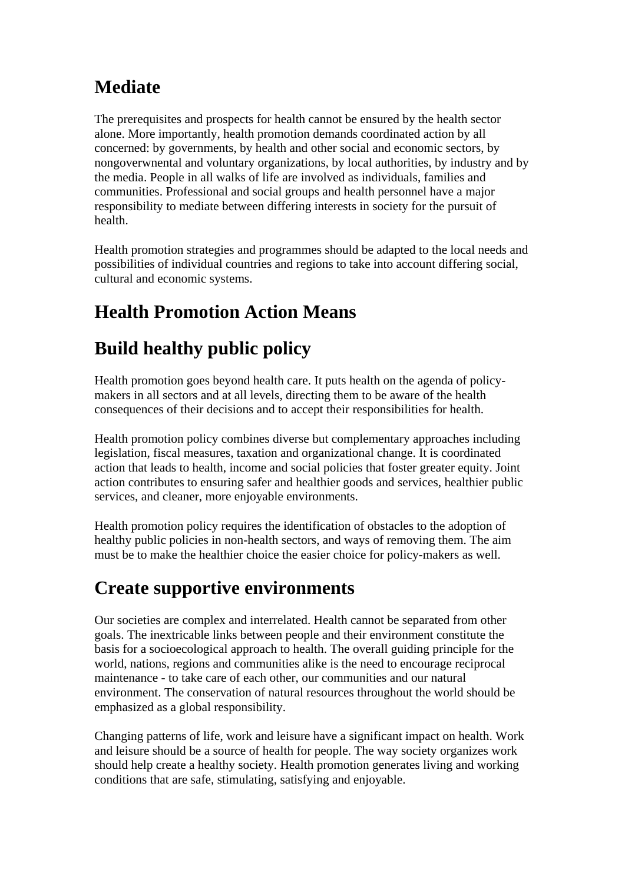## **Mediate**

The prerequisites and prospects for health cannot be ensured by the health sector alone. More importantly, health promotion demands coordinated action by all concerned: by governments, by health and other social and economic sectors, by nongoverwnental and voluntary organizations, by local authorities, by industry and by the media. People in all walks of life are involved as individuals, families and communities. Professional and social groups and health personnel have a major responsibility to mediate between differing interests in society for the pursuit of health.

Health promotion strategies and programmes should be adapted to the local needs and possibilities of individual countries and regions to take into account differing social, cultural and economic systems.

# **Health Promotion Action Means**

# **Build healthy public policy**

Health promotion goes beyond health care. It puts health on the agenda of policymakers in all sectors and at all levels, directing them to be aware of the health consequences of their decisions and to accept their responsibilities for health.

Health promotion policy combines diverse but complementary approaches including legislation, fiscal measures, taxation and organizational change. It is coordinated action that leads to health, income and social policies that foster greater equity. Joint action contributes to ensuring safer and healthier goods and services, healthier public services, and cleaner, more enjoyable environments.

Health promotion policy requires the identification of obstacles to the adoption of healthy public policies in non-health sectors, and ways of removing them. The aim must be to make the healthier choice the easier choice for policy-makers as well.

## **Create supportive environments**

Our societies are complex and interrelated. Health cannot be separated from other goals. The inextricable links between people and their environment constitute the basis for a socioecological approach to health. The overall guiding principle for the world, nations, regions and communities alike is the need to encourage reciprocal maintenance - to take care of each other, our communities and our natural environment. The conservation of natural resources throughout the world should be emphasized as a global responsibility.

Changing patterns of life, work and leisure have a significant impact on health. Work and leisure should be a source of health for people. The way society organizes work should help create a healthy society. Health promotion generates living and working conditions that are safe, stimulating, satisfying and enjoyable.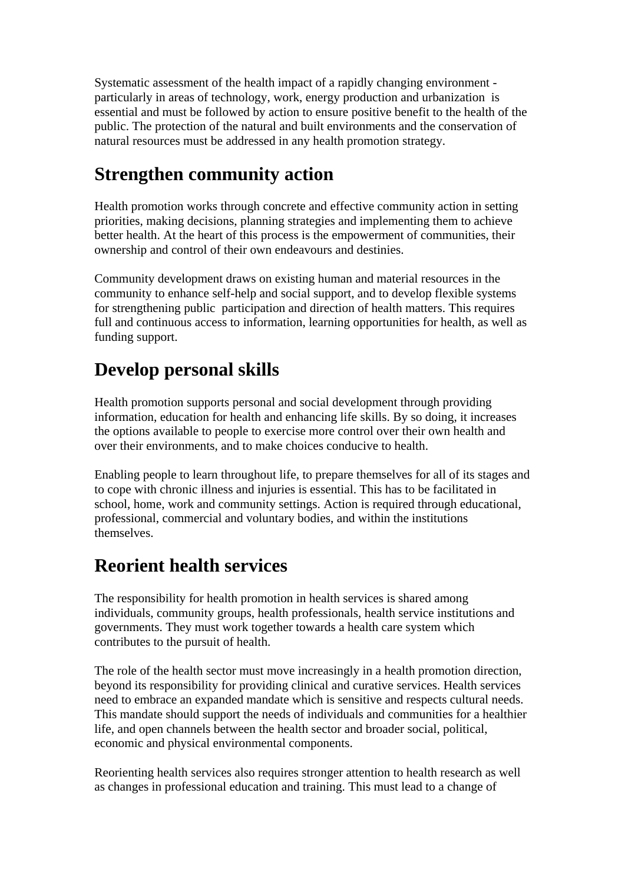Systematic assessment of the health impact of a rapidly changing environment particularly in areas of technology, work, energy production and urbanization is essential and must be followed by action to ensure positive benefit to the health of the public. The protection of the natural and built environments and the conservation of natural resources must be addressed in any health promotion strategy.

#### **Strengthen community action**

Health promotion works through concrete and effective community action in setting priorities, making decisions, planning strategies and implementing them to achieve better health. At the heart of this process is the empowerment of communities, their ownership and control of their own endeavours and destinies.

Community development draws on existing human and material resources in the community to enhance self-help and social support, and to develop flexible systems for strengthening public participation and direction of health matters. This requires full and continuous access to information, learning opportunities for health, as well as funding support.

#### **Develop personal skills**

Health promotion supports personal and social development through providing information, education for health and enhancing life skills. By so doing, it increases the options available to people to exercise more control over their own health and over their environments, and to make choices conducive to health.

Enabling people to learn throughout life, to prepare themselves for all of its stages and to cope with chronic illness and injuries is essential. This has to be facilitated in school, home, work and community settings. Action is required through educational, professional, commercial and voluntary bodies, and within the institutions themselves.

#### **Reorient health services**

The responsibility for health promotion in health services is shared among individuals, community groups, health professionals, health service institutions and governments. They must work together towards a health care system which contributes to the pursuit of health.

The role of the health sector must move increasingly in a health promotion direction, beyond its responsibility for providing clinical and curative services. Health services need to embrace an expanded mandate which is sensitive and respects cultural needs. This mandate should support the needs of individuals and communities for a healthier life, and open channels between the health sector and broader social, political, economic and physical environmental components.

Reorienting health services also requires stronger attention to health research as well as changes in professional education and training. This must lead to a change of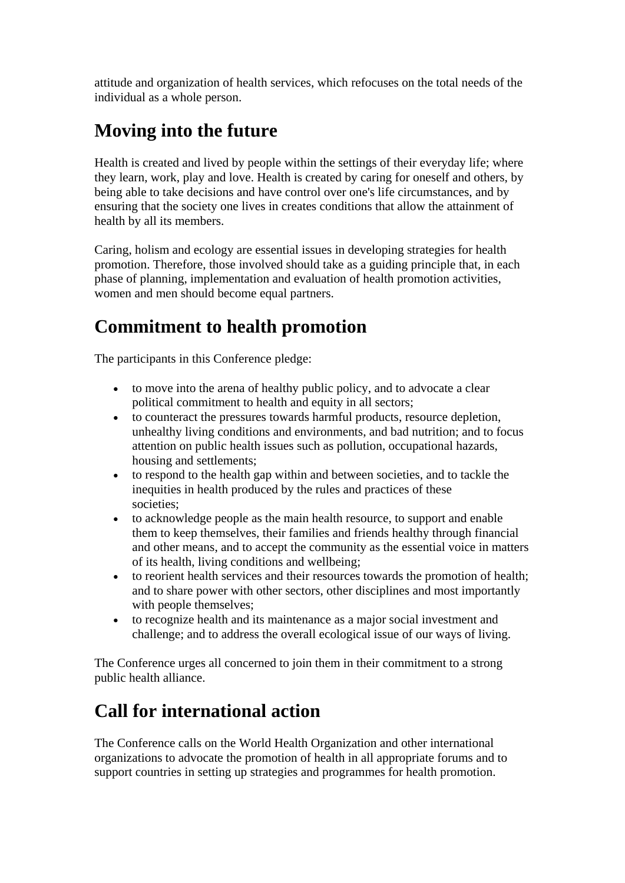attitude and organization of health services, which refocuses on the total needs of the individual as a whole person.

#### **Moving into the future**

Health is created and lived by people within the settings of their everyday life; where they learn, work, play and love. Health is created by caring for oneself and others, by being able to take decisions and have control over one's life circumstances, and by ensuring that the society one lives in creates conditions that allow the attainment of health by all its members.

Caring, holism and ecology are essential issues in developing strategies for health promotion. Therefore, those involved should take as a guiding principle that, in each phase of planning, implementation and evaluation of health promotion activities, women and men should become equal partners.

## **Commitment to health promotion**

The participants in this Conference pledge:

- to move into the arena of healthy public policy, and to advocate a clear political commitment to health and equity in all sectors;
- to counteract the pressures towards harmful products, resource depletion, unhealthy living conditions and environments, and bad nutrition; and to focus attention on public health issues such as pollution, occupational hazards, housing and settlements;
- to respond to the health gap within and between societies, and to tackle the inequities in health produced by the rules and practices of these societies;
- to acknowledge people as the main health resource, to support and enable them to keep themselves, their families and friends healthy through financial and other means, and to accept the community as the essential voice in matters of its health, living conditions and wellbeing;
- to reorient health services and their resources towards the promotion of health; and to share power with other sectors, other disciplines and most importantly with people themselves;
- to recognize health and its maintenance as a major social investment and challenge; and to address the overall ecological issue of our ways of living.

The Conference urges all concerned to join them in their commitment to a strong public health alliance.

#### **Call for international action**

The Conference calls on the World Health Organization and other international organizations to advocate the promotion of health in all appropriate forums and to support countries in setting up strategies and programmes for health promotion.